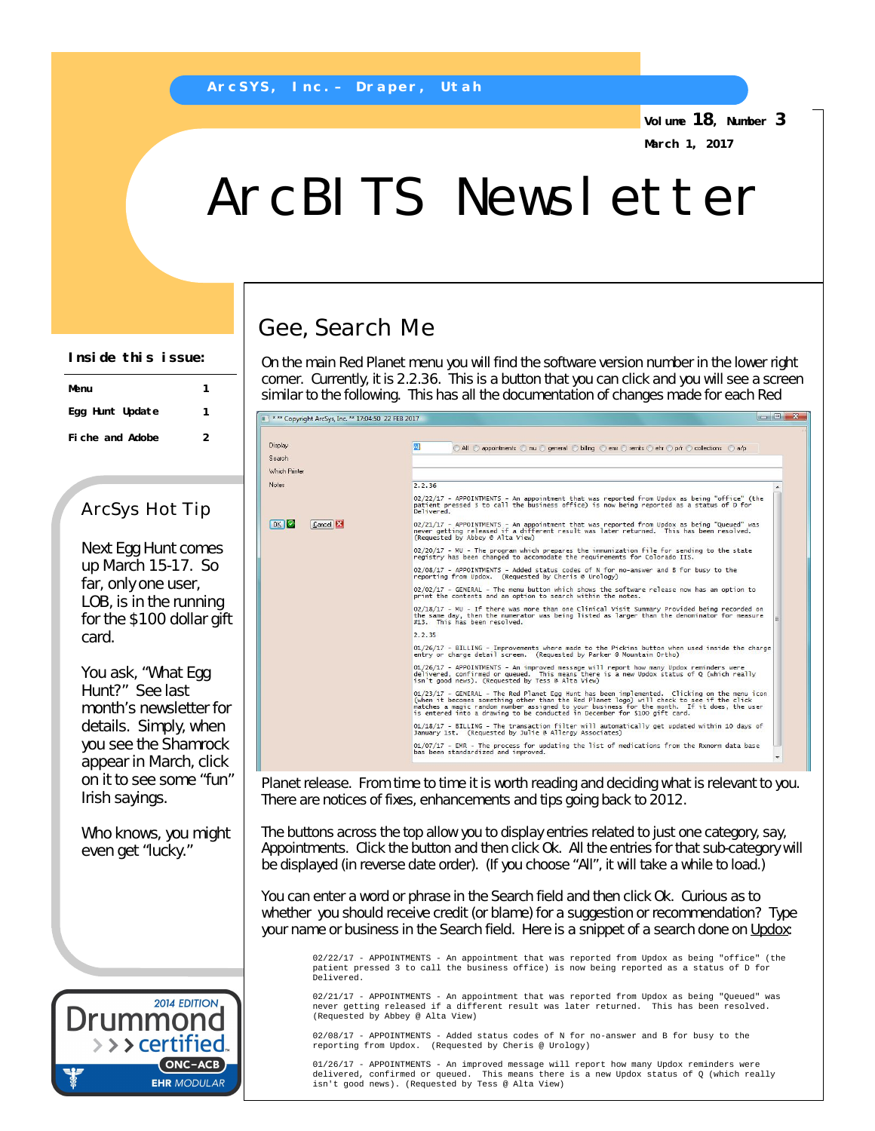**Volume 18, Number 3**

**March 1, 2017**

## ArcBITS Newsletter

**Inside this issue:**

| Menu            |   |
|-----------------|---|
| Egg Hunt Update |   |
| Fiche and Adobe | 2 |

## ArcSys Hot Tip

Next Egg Hunt comes up March 15-17. So far, only one user, LOB, is in the running for the \$100 dollar gift card.

You ask, "What Egg Hunt?" See last month's newsletter for details. Simply, when you see the Shamrock appear in March, click on it to see some "fun" Irish sayings.

Who knows, you might even get "lucky."



## Gee, Search Me

On the main Red Planet menu you will find the software version number in the lower right corner. Currently, it is 2.2.36. This is a *button* that you can click and you will see a screen similar to the following. This has all the documentation of changes made for each Red

| Display                | All appointments and one control and the control of the collections and a                                                                                                                                                                                                                                                                                              |
|------------------------|------------------------------------------------------------------------------------------------------------------------------------------------------------------------------------------------------------------------------------------------------------------------------------------------------------------------------------------------------------------------|
| Search                 |                                                                                                                                                                                                                                                                                                                                                                        |
| Which Printer          |                                                                                                                                                                                                                                                                                                                                                                        |
|                        |                                                                                                                                                                                                                                                                                                                                                                        |
|                        | 2, 2, 36                                                                                                                                                                                                                                                                                                                                                               |
|                        | 02/22/17 - APPOINTMENTS - An appointment that was reported from Updox as being "office" (the<br>patient pressed 3 to call the business office) is now being reported as a status of D for<br>Delivered.                                                                                                                                                                |
| OK<br>Cancel <b>EX</b> | 02/21/17 - APPOINTMENTS - An appointment that was reported from Updox as being "Queued" was<br>never getting released if a different result was later returned. This has been resolved.<br>(Requested by Abbey @ Alta View)                                                                                                                                            |
|                        | 02/20/17 - MU - The program which prepares the immunization file for sending to the state<br>registry has been changed to accomodate the requirements for Colorado IIS.                                                                                                                                                                                                |
|                        | 02/08/17 - APPOINTMENTS - Added status codes of N for no-answer and B for busy to the<br>reporting from Updox. (Requested by Cheris @ Urology)                                                                                                                                                                                                                         |
|                        | 02/02/17 - GENERAL - The menu button which shows the software release now has an option to<br>print the contents and an option to search within the notes.                                                                                                                                                                                                             |
|                        | 02/18/17 - MU - If there was more than one Clinical Visit Summary Provided being recorded on<br>the same day, then the numerator was being listed as larger than the denominator for measure<br>#13. This has been resolved.                                                                                                                                           |
|                        | 2.2.35                                                                                                                                                                                                                                                                                                                                                                 |
|                        | 01/26/17 - BILLING - Improvements where made to the Pickins button when used inside the charge<br>entry or charge detail screen. (Requested by Parker @ Mountain Ortho)                                                                                                                                                                                                |
|                        | 01/26/17 - APPOINTMENTS - An improved message will report how many Updox reminders were<br>delivered, confirmed or queued. This means there is a new Updox status of Q (which really<br>isn't good news). (Requested by Tess @ Alta View)                                                                                                                              |
|                        | 01/23/17 - GENERAL - The Red Planet Egg Hunt has been implemented. Clicking on the menu icon<br>(when it becomes something other than the Red Planet logo) will check to see if the click<br>matches a magic random number assigned to your business for the month. If it does, the user<br>is entered into a drawing to be conducted in December for \$100 gift card. |
|                        | 01/18/17 - BILLING - The transaction filter will automatically get updated within 10 days of<br>January 1st. (Requested by Julie @ Allergy Associates)                                                                                                                                                                                                                 |
|                        | $01/07/17$ - EMR - The process for updating the list of medications from the Rxnorm data base<br>bas been standardized and improved.                                                                                                                                                                                                                                   |

Planet release. From time to time it is worth reading and deciding what is relevant to you. There are notices of fixes, enhancements and tips going back to 2012.

The buttons across the top allow you to display entries related to just one category, say, Appointments. Click the button and then click Ok. All the entries for that sub-category will be displayed (in reverse date order). (If you choose "All", it will take a while to load.)

You can enter a word or phrase in the Search field and then click Ok. Curious as to whether you should receive credit (or blame) for a suggestion or recommendation? Type your name or business in the Search field. Here is a snippet of a search done on Updox:

02/22/17 - APPOINTMENTS - An appointment that was reported from Updox as being "office" (the patient pressed 3 to call the business office) is now being reported as a status of D for Delivered.

02/21/17 - APPOINTMENTS - An appointment that was reported from Updox as being "Queued" was never getting released if a different result was later returned. This has been resolved. (Requested by Abbey @ Alta View)

02/08/17 - APPOINTMENTS - Added status codes of N for no-answer and B for busy to the reporting from Updox. (Requested by Cheris @ Urology)

01/26/17 - APPOINTMENTS - An improved message will report how many Updox reminders were delivered, confirmed or queued. This means there is a new Updox status of Q (which really isn't good news). (Requested by Tess @ Alta View)